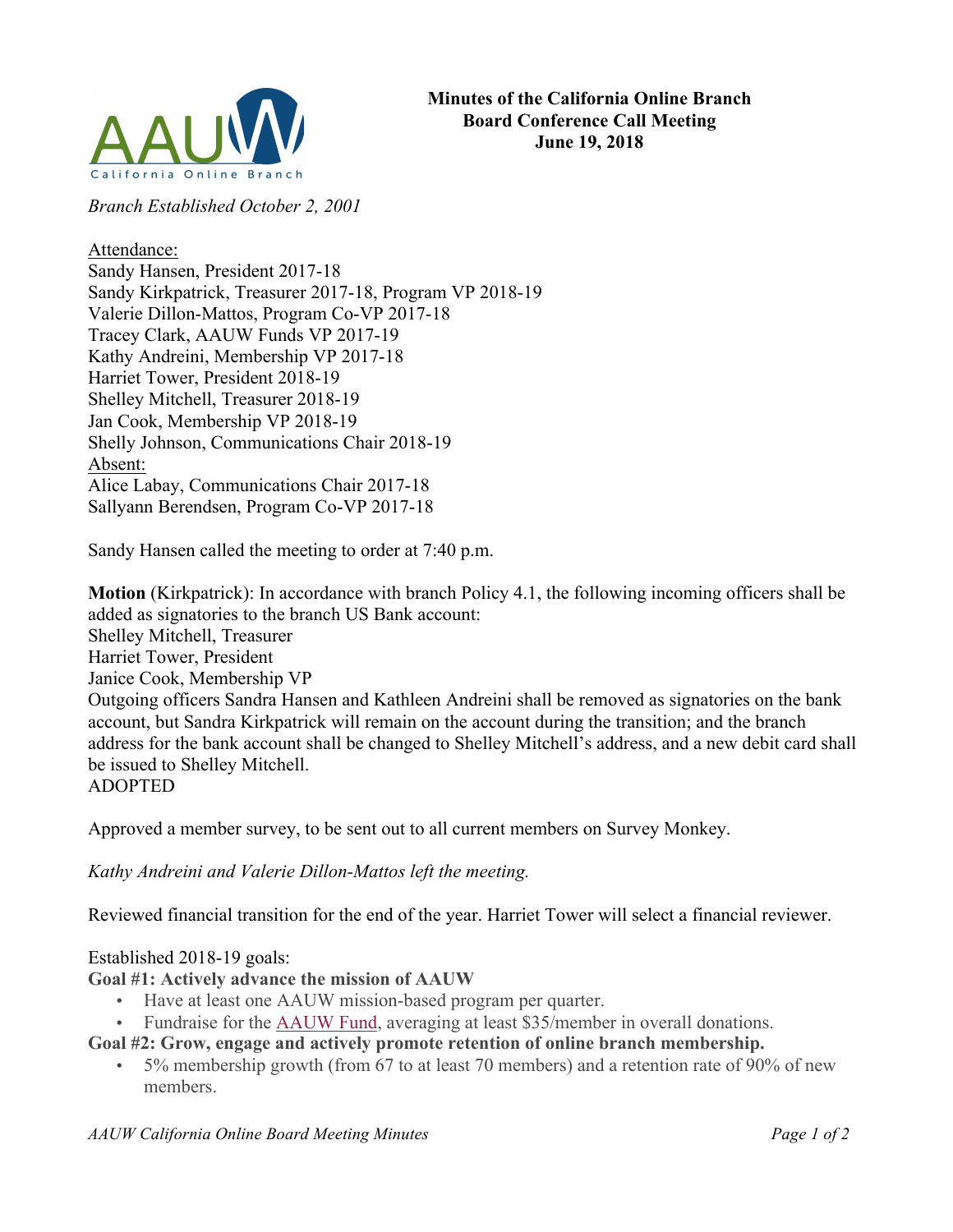

*Branch Established October 2, 2001*

## Attendance:

Sandy Hansen, President 2017-18 Sandy Kirkpatrick, Treasurer 2017-18, Program VP 2018-19 Valerie Dillon-Mattos, Program Co-VP 2017-18 Tracey Clark, AAUW Funds VP 2017-19 Kathy Andreini, Membership VP 2017-18 Harriet Tower, President 2018-19 Shelley Mitchell, Treasurer 2018-19 Jan Cook, Membership VP 2018-19 Shelly Johnson, Communications Chair 2018-19 Absent: Alice Labay, Communications Chair 2017-18 Sallyann Berendsen, Program Co-VP 2017-18

Sandy Hansen called the meeting to order at 7:40 p.m.

**Motion** (Kirkpatrick): In accordance with branch Policy 4.1, the following incoming officers shall be added as signatories to the branch US Bank account: Shelley Mitchell, Treasurer Harriet Tower, President Janice Cook, Membership VP Outgoing officers Sandra Hansen and Kathleen Andreini shall be removed as signatories on the bank account, but Sandra Kirkpatrick will remain on the account during the transition; and the branch address for the bank account shall be changed to Shelley Mitchell's address, and a new debit card shall be issued to Shelley Mitchell. ADOPTED

Approved a member survey, to be sent out to all current members on Survey Monkey.

*Kathy Andreini and Valerie Dillon-Mattos left the meeting.*

Reviewed financial transition for the end of the year. Harriet Tower will select a financial reviewer.

## Established 2018-19 goals:

**Goal #1: Actively advance the mission of AAUW**

- Have at least one AAUW mission-based program per quarter.
- Fundraise for the AAUW Fund, averaging at least \$35/member in overall donations.

**Goal #2: Grow, engage and actively promote retention of online branch membership.**

• 5% membership growth (from 67 to at least 70 members) and a retention rate of 90% of new members.